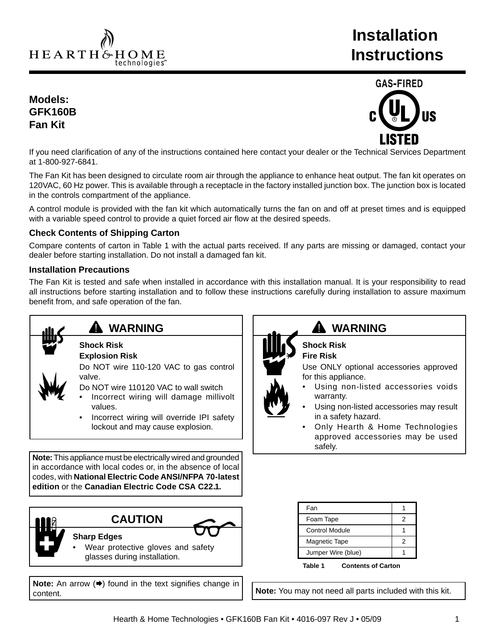HEARTH&HOME technologies<sup>-</sup>

# **Installation Instructions**

# **Models: GFK160B Fan Kit**



If you need clarification of any of the instructions contained here contact your dealer or the Technical Services Department at 1-800-927-6841.

The Fan Kit has been designed to circulate room air through the appliance to enhance heat output. The fan kit operates on 120VAC, 60 Hz power. This is available through a receptacle in the factory installed junction box. The junction box is located in the controls compartment of the appliance.

A control module is provided with the fan kit which automatically turns the fan on and off at preset times and is equipped with a variable speed control to provide a quiet forced air flow at the desired speeds.

## **Check Contents of Shipping Carton**

Compare contents of carton in Table 1 with the actual parts received. If any parts are missing or damaged, contact your dealer before starting installation. Do not install a damaged fan kit.

## **Installation Precautions**

The Fan Kit is tested and safe when installed in accordance with this installation manual. It is your responsibility to read all instructions before starting installation and to follow these instructions carefully during installation to assure maximum benefit from, and safe operation of the fan.



# **WARNING**

#### **Shock Risk Explosion Risk**

Do NOT wire 110-120 VAC to gas control valve.

- Do NOT wire 110120 VAC to wall switch
- Incorrect wiring will damage millivolt values.
- Incorrect wiring will override IPI safety lockout and may cause explosion.

**Note:** This appliance must be electrically wired and grounded in accordance with local codes or, in the absence of local codes, with **National Electric Code ANSI/NFPA 70-latest edition** or the **Canadian Electric Code CSA C22.1.**

**CAUTION**



## **Sharp Edges**

Wear protective gloves and safety glasses during installation.

**Note:** An arrow (→) found in the text signifies change in content.



# **WARNING**

**Shock Risk Fire Risk**

Use ONLY optional accessories approved for this appliance.

- Using non-listed accessories voids warranty.
- Using non-listed accessories may result in a safety hazard.
- Only Hearth & Home Technologies approved accessories may be used safely.

**Table 1 Contents of Carton**

**Note:** You may not need all parts included with this kit.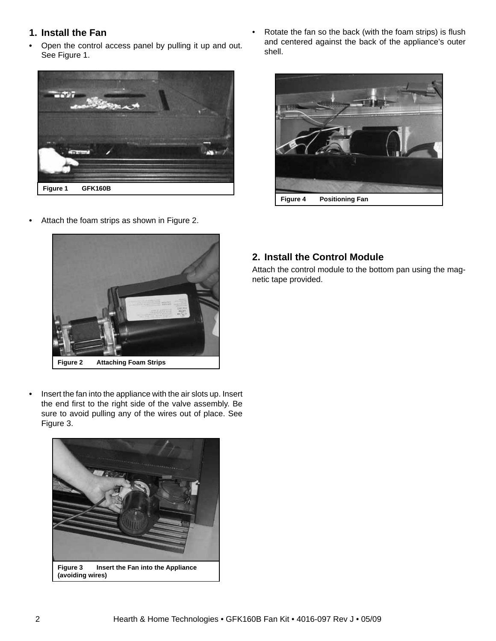# **1. Install the Fan**

**•** Open the control access panel by pulling it up and out. See Figure 1.



**•** Attach the foam strips as shown in Figure 2.

Rotate the fan so the back (with the foam strips) is flush and centered against the back of the appliance's outer shell.





**•** Insert the fan into the appliance with the air slots up. Insert the end first to the right side of the valve assembly. Be sure to avoid pulling any of the wires out of place. See Figure 3.



# **2. Install the Control Module**

Attach the control module to the bottom pan using the magnetic tape provided.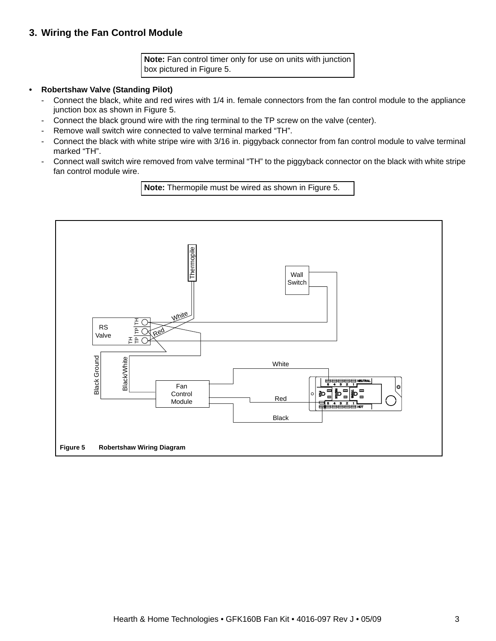# **3. Wiring the Fan Control Module**

**Note:** Fan control timer only for use on units with junction box pictured in Figure 5.

#### **• Robertshaw Valve (Standing Pilot)**

- Connect the black, white and red wires with 1/4 in. female connectors from the fan control module to the appliance junction box as shown in Figure 5.
- Connect the black ground wire with the ring terminal to the TP screw on the valve (center).
- Remove wall switch wire connected to valve terminal marked "TH".
- Connect the black with white stripe wire with 3/16 in. piggyback connector from fan control module to valve terminal marked "TH".
- Connect wall switch wire removed from valve terminal "TH" to the piggyback connector on the black with white stripe fan control module wire.

**Note:** Thermopile must be wired as shown in Figure 5.